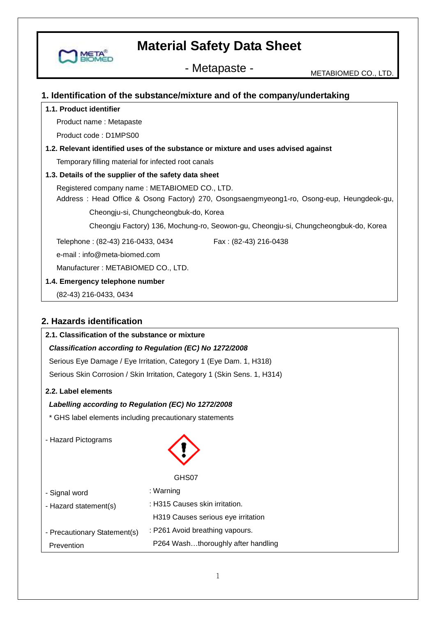

## **1. Identification of the substance/mixture and of the company/undertaking**

#### **1.1. Product identifier**

Product name : Metapaste

Product code : D1MPS00

## **1.2. Relevant identified uses of the substance or mixture and uses advised against**

Temporary filling material for infected root canals

#### **1.3. Details of the supplier of the safety data sheet**

Registered company name : METABIOMED CO., LTD.

 Address : Head Office & Osong Factory) 270, Osongsaengmyeong1-ro, Osong-eup, Heungdeok-gu, Cheongju-si, Chungcheongbuk-do, Korea

Cheongju Factory) 136, Mochung-ro, Seowon-gu, Cheongju-si, Chungcheongbuk-do, Korea

Telephone: (82-43) 216-0433, 0434 Fax: (82-43) 216-0438

e-mail : info@meta-biomed.com

Manufacturer : METABIOMED CO., LTD.

#### **1.4. Emergency telephone number**

(82-43) 216-0433, 0434

## **2. Hazards identification**

## **2.1. Classification of the substance or mixture**

### *Classification according to Regulation (EC) No 1272/2008*

Serious Eye Damage / Eye Irritation, Category 1 (Eye Dam. 1, H318) Serious Skin Corrosion / Skin Irritation, Category 1 (Skin Sens. 1, H314)

#### **2.2. Label elements**

### *Labelling according to Regulation (EC) No 1272/2008*

\* GHS label elements including precautionary statements

- Hazard Pictograms



#### GHS07

| - Signal word                | : Warning                          |
|------------------------------|------------------------------------|
| - Hazard statement(s)        | : H315 Causes skin irritation.     |
|                              | H319 Causes serious eye irritation |
| - Precautionary Statement(s) | : P261 Avoid breathing vapours.    |
| Prevention                   | P264 Washthoroughly after handling |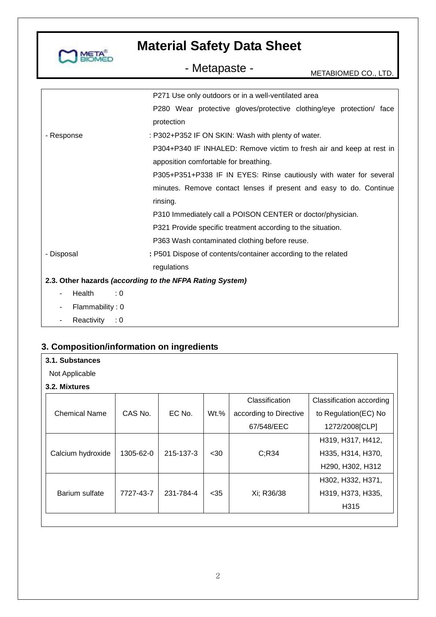

# - Metapaste - METABIOMED CO., LTD.

|                                                          | P271 Use only outdoors or in a well-ventilated area                  |  |  |
|----------------------------------------------------------|----------------------------------------------------------------------|--|--|
|                                                          | P280 Wear protective gloves/protective clothing/eye protection/ face |  |  |
|                                                          | protection                                                           |  |  |
| - Response                                               | : P302+P352 IF ON SKIN: Wash with plenty of water.                   |  |  |
|                                                          | P304+P340 IF INHALED: Remove victim to fresh air and keep at rest in |  |  |
|                                                          | apposition comfortable for breathing.                                |  |  |
|                                                          | P305+P351+P338 IF IN EYES: Rinse cautiously with water for several   |  |  |
|                                                          | minutes. Remove contact lenses if present and easy to do. Continue   |  |  |
|                                                          | rinsing.                                                             |  |  |
|                                                          | P310 Immediately call a POISON CENTER or doctor/physician.           |  |  |
|                                                          | P321 Provide specific treatment according to the situation.          |  |  |
|                                                          | P363 Wash contaminated clothing before reuse.                        |  |  |
| - Disposal                                               | : P501 Dispose of contents/container according to the related        |  |  |
|                                                          | regulations                                                          |  |  |
| 2.3. Other hazards (according to the NFPA Rating System) |                                                                      |  |  |
| Health                                                   | : 0                                                                  |  |  |
| Flammability: 0                                          |                                                                      |  |  |
| Reactivity : 0                                           |                                                                      |  |  |

## **3. Composition/information on ingredients**

Not Applicable

**3.2. Mixtures**

|                      |           |           |         | Classification         | Classification according |
|----------------------|-----------|-----------|---------|------------------------|--------------------------|
| <b>Chemical Name</b> | CAS No.   | EC No.    | $Wt.$ % | according to Directive | to Regulation(EC) No     |
|                      |           |           |         | 67/548/EEC             | 1272/2008[CLP]           |
|                      |           |           |         |                        | H319, H317, H412,        |
| Calcium hydroxide    | 1305-62-0 | 215-137-3 | $30$    | C; R34                 | H335, H314, H370,        |
|                      |           |           |         |                        | H290, H302, H312         |
|                      |           |           |         |                        | H302, H332, H371,        |
| Barium sulfate       | 7727-43-7 | 231-784-4 | $35$    | Xi; R36/38             | H319, H373, H335,        |
|                      |           |           |         |                        | H <sub>3</sub> 15        |
|                      |           |           |         |                        |                          |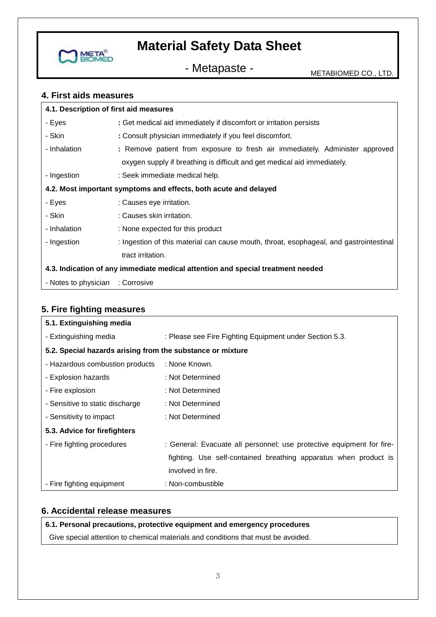

- Metapaste - METABIOMED CO., LTD.

## **4. First aids measures**

| 4.1. Description of first aid measures                                          |                                                                                        |  |  |
|---------------------------------------------------------------------------------|----------------------------------------------------------------------------------------|--|--|
| - Eyes                                                                          | : Get medical aid immediately if discomfort or irritation persists                     |  |  |
| - Skin                                                                          | : Consult physician immediately if you feel discomfort.                                |  |  |
| - Inhalation                                                                    | : Remove patient from exposure to fresh air immediately. Administer approved           |  |  |
|                                                                                 | oxygen supply if breathing is difficult and get medical aid immediately.               |  |  |
| - Ingestion                                                                     | : Seek immediate medical help.                                                         |  |  |
| 4.2. Most important symptoms and effects, both acute and delayed                |                                                                                        |  |  |
| - Eyes                                                                          | : Causes eye irritation.                                                               |  |  |
| - Skin                                                                          | : Causes skin irritation.                                                              |  |  |
| - Inhalation                                                                    | : None expected for this product                                                       |  |  |
| - Ingestion                                                                     | : Ingestion of this material can cause mouth, throat, esophageal, and gastrointestinal |  |  |
|                                                                                 | tract irritation.                                                                      |  |  |
| 4.3. Indication of any immediate medical attention and special treatment needed |                                                                                        |  |  |
| - Notes to physician : Corrosive                                                |                                                                                        |  |  |

## **5. Fire fighting measures**

| 5.1. Extinguishing media                                   |                                                                       |  |
|------------------------------------------------------------|-----------------------------------------------------------------------|--|
| - Extinguishing media                                      | : Please see Fire Fighting Equipment under Section 5.3.               |  |
| 5.2. Special hazards arising from the substance or mixture |                                                                       |  |
| - Hazardous combustion products                            | : None Known.                                                         |  |
| - Explosion hazards                                        | : Not Determined                                                      |  |
| - Fire explosion                                           | : Not Determined                                                      |  |
| - Sensitive to static discharge                            | : Not Determined                                                      |  |
| - Sensitivity to impact                                    | : Not Determined                                                      |  |
| 5.3. Advice for firefighters                               |                                                                       |  |
| - Fire fighting procedures                                 | : General: Evacuate all personnel; use protective equipment for fire- |  |
|                                                            | fighting. Use self-contained breathing apparatus when product is      |  |
|                                                            | involved in fire.                                                     |  |
| - Fire fighting equipment                                  | : Non-combustible                                                     |  |

## **6. Accidental release measures**

## **6.1. Personal precautions, protective equipment and emergency procedures**

Give special attention to chemical materials and conditions that must be avoided.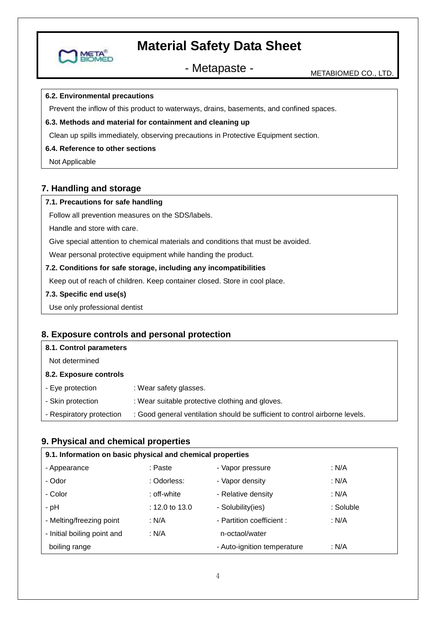

- Metapaste - Metablomed CO., LTD.

#### **6.2. Environmental precautions**

MET

Prevent the inflow of this product to waterways, drains, basements, and confined spaces.

#### **6.3. Methods and material for containment and cleaning up**

Clean up spills immediately, observing precautions in Protective Equipment section.

#### **6.4. Reference to other sections**

Not Applicable

### **7. Handling and storage**

#### **7.1. Precautions for safe handling**

Follow all prevention measures on the SDS/labels.

Handle and store with care.

Give special attention to chemical materials and conditions that must be avoided.

Wear personal protective equipment while handing the product.

#### **7.2. Conditions for safe storage, including any incompatibilities**

Keep out of reach of children. Keep container closed. Store in cool place.

- **7.3. Specific end use(s)**
- Use only professional dentist

## **8. Exposure controls and personal protection**

| 8.1. Control parameters  |                                                                             |
|--------------------------|-----------------------------------------------------------------------------|
| Not determined           |                                                                             |
| 8.2. Exposure controls   |                                                                             |
| - Eye protection         | : Wear safety glasses.                                                      |
| - Skin protection        | : Wear suitable protective clothing and gloves.                             |
| - Respiratory protection | : Good general ventilation should be sufficient to control airborne levels. |
|                          |                                                                             |

#### **9. Physical and chemical properties**

| 9.1. Information on basic physical and chemical properties |                |                             |           |  |
|------------------------------------------------------------|----------------|-----------------------------|-----------|--|
| - Appearance                                               | : Paste        | - Vapor pressure            | : N/A     |  |
| - Odor                                                     | : Odorless:    | - Vapor density             | : N/A     |  |
| - Color                                                    | : off-white    | - Relative density          | : N/A     |  |
| - pH                                                       | : 12.0 to 13.0 | - Solubility(ies)           | : Soluble |  |
| - Melting/freezing point                                   | : N/A          | - Partition coefficient :   | : N/A     |  |
| - Initial boiling point and                                | : $N/A$        | n-octaol/water              |           |  |
| boiling range                                              |                | - Auto-ignition temperature | : N/A     |  |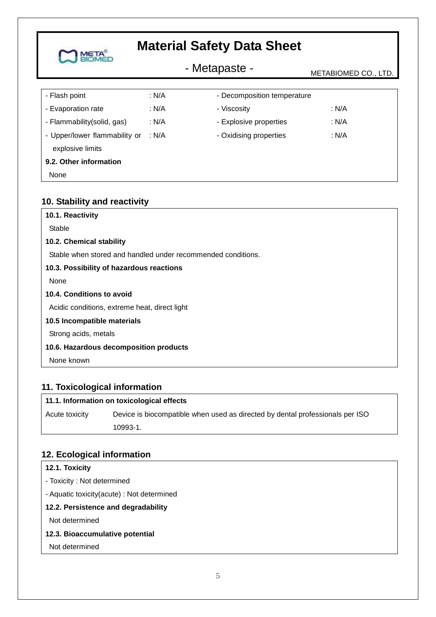## - Metapaste - Metapaste - METABIOMED CO., LTD.

| - Flash point                 | : N/A | - Decomposition temperature |         |
|-------------------------------|-------|-----------------------------|---------|
| - Evaporation rate            | : N/A | - Viscosity                 | : N/A   |
| - Flammability(solid, gas)    | : N/A | - Explosive properties      | : $N/A$ |
| - Upper/lower flammability or | : N/A | - Oxidising properties      | : N/A   |
| explosive limits              |       |                             |         |
| 9.2. Other information        |       |                             |         |
| None                          |       |                             |         |

## **10. Stability and reactivity**

**META** 

| Stable<br>10.2. Chemical stability<br>Stable when stored and handled under recommended conditions.<br>10.3. Possibility of hazardous reactions<br>None<br>10.4. Conditions to avoid<br>Acidic conditions, extreme heat, direct light<br>10.5 Incompatible materials<br>Strong acids, metals<br>10.6. Hazardous decomposition products | 10.1. Reactivity |
|---------------------------------------------------------------------------------------------------------------------------------------------------------------------------------------------------------------------------------------------------------------------------------------------------------------------------------------|------------------|
|                                                                                                                                                                                                                                                                                                                                       |                  |
|                                                                                                                                                                                                                                                                                                                                       |                  |
|                                                                                                                                                                                                                                                                                                                                       |                  |
|                                                                                                                                                                                                                                                                                                                                       |                  |
|                                                                                                                                                                                                                                                                                                                                       |                  |
|                                                                                                                                                                                                                                                                                                                                       |                  |
|                                                                                                                                                                                                                                                                                                                                       |                  |
|                                                                                                                                                                                                                                                                                                                                       |                  |
|                                                                                                                                                                                                                                                                                                                                       |                  |
|                                                                                                                                                                                                                                                                                                                                       |                  |
|                                                                                                                                                                                                                                                                                                                                       | None known       |

## **11. Toxicological information**

#### **11.1. Information on toxicological effects**

Acute toxicity Device is biocompatible when used as directed by dental professionals per ISO 10993-1.

### **12. Ecological information**

#### **12.1. Toxicity**

- Toxicity : Not determined

- Aquatic toxicity(acute) : Not determined

## **12.2. Persistence and degradability**

Not determined

#### **12.3. Bioaccumulative potential**

Not determined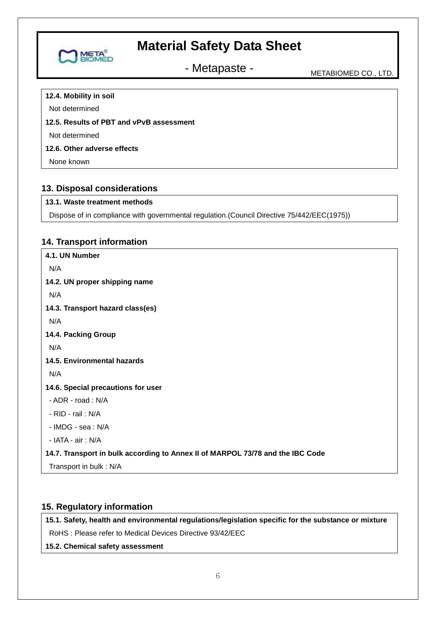

- Metapaste - Metapaste - METABIOMED CO., LTD.

**12.4. Mobility in soil**

Not determined

## **12.5. Results of PBT and vPvB assessment**

Not determined

## **12.6. Other adverse effects**

None known

## **13. Disposal considerations**

### **13.1. Waste treatment methods**

Dispose of in compliance with governmental regulation.(Council Directive 75/442/EEC(1975))

## **14. Transport information**

**4.1. UN Number** N/A **14.2. UN proper shipping name**  N/A **14.3. Transport hazard class(es)** N/A **14.4. Packing Group** N/A **14.5. Environmental hazards** N/A **14.6. Special precautions for user** - ADR - road : N/A - RID - rail : N/A - IMDG - sea : N/A - IATA - air : N/A **14.7. Transport in bulk according to Annex II of MARPOL 73/78 and the IBC Code** Transport in bulk : N/A

## **15. Regulatory information**

**15.1. Safety, health and environmental regulations/legislation specific for the substance or mixture**

RoHS : Please refer to Medical Devices Directive 93/42/EEC

**15.2. Chemical safety assessment**